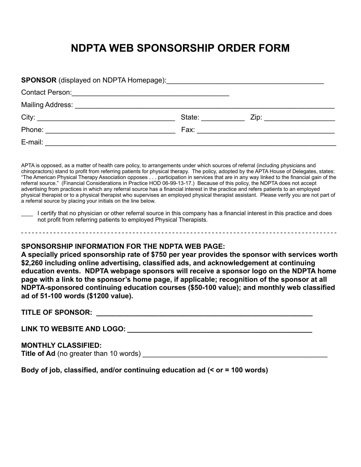## **NDPTA WEB SPONSORSHIP ORDER FORM**

| SPONSOR (displayed on NDPTA Homepage): \\commonglance\\commonglance\\commonglance\\commonglance\\commonglance\\commonglance\\commonglance\\commonglance\\commonglance\\commonglance\\commonglance\\commonglance\\commonglance\ |                                                                                                                                                                                                                                |                                         |
|--------------------------------------------------------------------------------------------------------------------------------------------------------------------------------------------------------------------------------|--------------------------------------------------------------------------------------------------------------------------------------------------------------------------------------------------------------------------------|-----------------------------------------|
| Contact Person: <u>Contact Person:</u> Contact Person:                                                                                                                                                                         |                                                                                                                                                                                                                                |                                         |
|                                                                                                                                                                                                                                |                                                                                                                                                                                                                                |                                         |
|                                                                                                                                                                                                                                | State: and the state of the state of the state of the state of the state of the state of the state of the state of the state of the state of the state of the state of the state of the state of the state of the state of the | Zip: _________________________          |
|                                                                                                                                                                                                                                |                                                                                                                                                                                                                                | Fax: __________________________________ |
| E-mail: _______________                                                                                                                                                                                                        |                                                                                                                                                                                                                                |                                         |

APTA is opposed, as a matter of health care policy, to arrangements under which sources of referral (including physicians and chiropractors) stand to profit from referring patients for physical therapy. The policy, adopted by the APTA House of Delegates, states: "The American Physical Therapy Association opposes . . . participation in services that are in any way linked to the financial gain of the referral source." (Financial Considerations in Practice HOD 06-99-13-17.) Because of this policy, the NDPTA does not accept advertising from practices in which any referral source has a financial interest in the practice and refers patients to an employed physical therapist or to a physical therapist who supervises an employed physical therapist assistant. Please verify you are not part of a referral source by placing your initials on the line below.

Lettify that no physician or other referral source in this company has a financial interest in this practice and does not profit from referring patients to employed Physical Therapists.

## **SPONSORSHIP INFORMATION FOR THE NDPTA WEB PAGE:**

**A specially priced sponsorship rate of \$750 per year provides the sponsor with services worth \$2,260 including online advertising, classified ads, and acknowledgement at continuing education events. NDPTA webpage sponsors will receive a sponsor logo on the NDPTA home page with a link to the sponsor's home page, if applicable; recognition of the sponsor at all NDPTA-sponsored continuing education courses (\$50-100 value); and monthly web classified ad of 51-100 words (\$1200 value).** 

**TITLE OF SPONSOR: \_\_\_\_\_\_\_\_\_\_\_\_\_\_\_\_\_\_\_\_\_\_\_\_\_\_\_\_\_\_\_\_\_\_\_\_\_\_\_\_\_\_\_\_\_\_\_\_\_\_\_\_\_\_\_**

**LINK TO WEBSITE AND LOGO: \_\_\_\_\_\_\_\_\_\_\_\_\_\_\_\_\_\_\_\_\_\_\_\_\_\_\_\_\_\_\_\_\_\_\_\_\_\_\_\_\_\_\_\_\_\_\_**

**MONTHLY CLASSIFIED:**

**Title of Ad** (no greater than 10 words)

**Body of job, classified, and/or continuing education ad (< or = 100 words)**